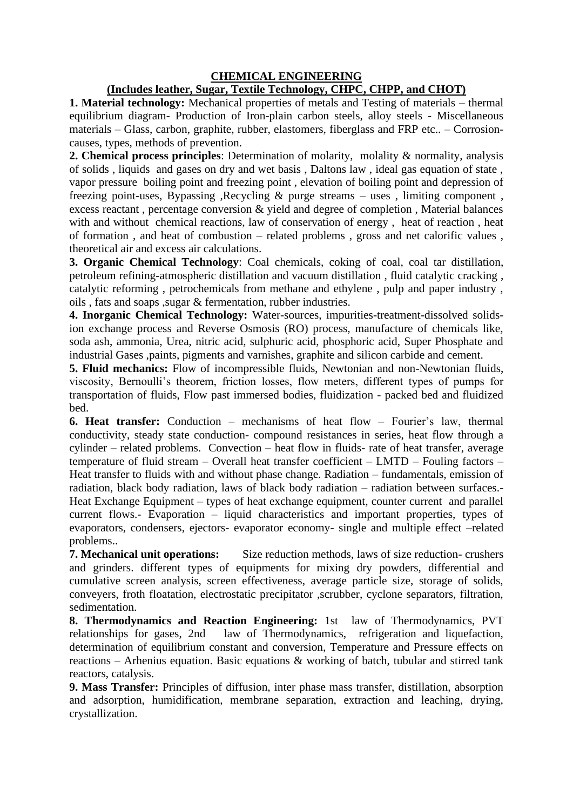## **CHEMICAL ENGINEERING**

## **(Includes leather, Sugar, Textile Technology, CHPC, CHPP, and CHOT)**

**1. Material technology:** Mechanical properties of metals and Testing of materials – thermal equilibrium diagram- Production of Iron-plain carbon steels, alloy steels - Miscellaneous materials – Glass, carbon, graphite, rubber, elastomers, fiberglass and FRP etc.. – Corrosioncauses, types, methods of prevention.

**2. Chemical process principles**: Determination of molarity, molality & normality, analysis of solids , liquids and gases on dry and wet basis , Daltons law , ideal gas equation of state , vapor pressure boiling point and freezing point , elevation of boiling point and depression of freezing point-uses, Bypassing , Recycling  $\&$  purge streams – uses , limiting component , excess reactant , percentage conversion & yield and degree of completion , Material balances with and without chemical reactions, law of conservation of energy , heat of reaction , heat of formation , and heat of combustion – related problems , gross and net calorific values , theoretical air and excess air calculations.

**3. Organic Chemical Technology**: Coal chemicals, coking of coal, coal tar distillation, petroleum refining-atmospheric distillation and vacuum distillation , fluid catalytic cracking , catalytic reforming , petrochemicals from methane and ethylene , pulp and paper industry , oils , fats and soaps ,sugar & fermentation, rubber industries.

**4. Inorganic Chemical Technology:** Water-sources, impurities-treatment-dissolved solidsion exchange process and Reverse Osmosis (RO) process, manufacture of chemicals like, soda ash, ammonia, Urea, nitric acid, sulphuric acid, phosphoric acid, Super Phosphate and industrial Gases ,paints, pigments and varnishes, graphite and silicon carbide and cement.

**5. Fluid mechanics:** Flow of incompressible fluids, Newtonian and non-Newtonian fluids, viscosity, Bernoulli's theorem, friction losses, flow meters, different types of pumps for transportation of fluids, Flow past immersed bodies, fluidization - packed bed and fluidized bed.

**6. Heat transfer:** Conduction – mechanisms of heat flow – Fourier's law, thermal conductivity, steady state conduction- compound resistances in series, heat flow through a cylinder – related problems. Convection – heat flow in fluids- rate of heat transfer, average temperature of fluid stream – Overall heat transfer coefficient – LMTD – Fouling factors – Heat transfer to fluids with and without phase change. Radiation – fundamentals, emission of radiation, black body radiation, laws of black body radiation – radiation between surfaces.- Heat Exchange Equipment – types of heat exchange equipment, counter current and parallel current flows.- Evaporation – liquid characteristics and important properties, types of evaporators, condensers, ejectors- evaporator economy- single and multiple effect –related problems..

**7. Mechanical unit operations:** Size reduction methods, laws of size reduction- crushers and grinders. different types of equipments for mixing dry powders, differential and cumulative screen analysis, screen effectiveness, average particle size, storage of solids, conveyers, froth floatation, electrostatic precipitator ,scrubber, cyclone separators, filtration, sedimentation.

**8. Thermodynamics and Reaction Engineering:** 1st law of Thermodynamics, PVT relationships for gases, 2nd law of Thermodynamics, refrigeration and liquefaction, determination of equilibrium constant and conversion, Temperature and Pressure effects on reactions – Arhenius equation. Basic equations & working of batch, tubular and stirred tank reactors, catalysis.

**9. Mass Transfer:** Principles of diffusion, inter phase mass transfer, distillation, absorption and adsorption, humidification, membrane separation, extraction and leaching, drying, crystallization.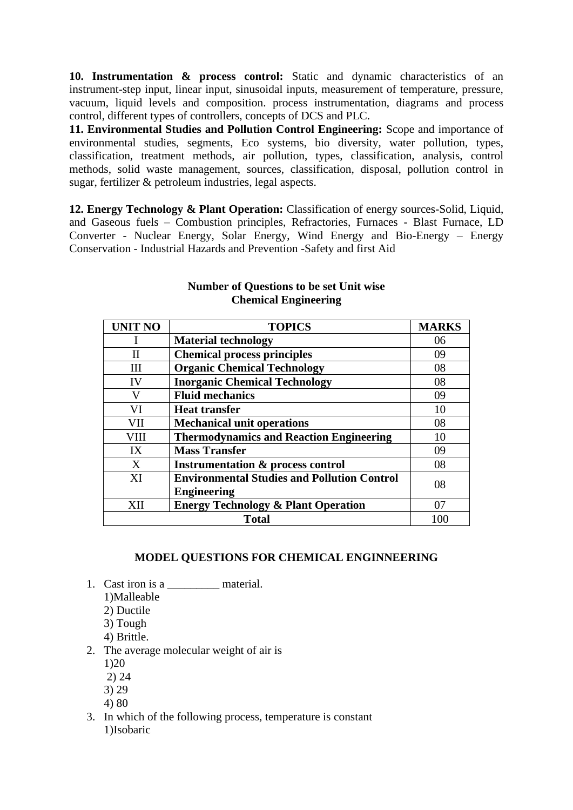**10. Instrumentation & process control:** Static and dynamic characteristics of an instrument-step input, linear input, sinusoidal inputs, measurement of temperature, pressure, vacuum, liquid levels and composition. process instrumentation, diagrams and process control, different types of controllers, concepts of DCS and PLC.

**11. Environmental Studies and Pollution Control Engineering:** Scope and importance of environmental studies, segments, Eco systems, bio diversity, water pollution, types, classification, treatment methods, air pollution, types, classification, analysis, control methods, solid waste management, sources, classification, disposal, pollution control in sugar, fertilizer & petroleum industries, legal aspects.

**12. Energy Technology & Plant Operation:** Classification of energy sources-Solid, Liquid, and Gaseous fuels – Combustion principles, Refractories, Furnaces - Blast Furnace, LD Converter - Nuclear Energy, Solar Energy, Wind Energy and Bio-Energy – Energy Conservation - Industrial Hazards and Prevention -Safety and first Aid

| <b>UNIT NO</b> | <b>TOPICS</b>                                      | <b>MARKS</b> |
|----------------|----------------------------------------------------|--------------|
|                | <b>Material technology</b>                         | 06           |
| Н              | <b>Chemical process principles</b>                 | 09           |
| HН             | <b>Organic Chemical Technology</b>                 | 08           |
| IV             | <b>Inorganic Chemical Technology</b>               | 08           |
| V              | <b>Fluid mechanics</b>                             | 09           |
| VI             | <b>Heat transfer</b>                               | 10           |
| VII            | <b>Mechanical unit operations</b>                  | 08           |
| VIII           | <b>Thermodynamics and Reaction Engineering</b>     | 10           |
| IX             | <b>Mass Transfer</b>                               | 09           |
| X              | <b>Instrumentation &amp; process control</b>       | 08           |
| XI             | <b>Environmental Studies and Pollution Control</b> | 08           |
|                | <b>Engineering</b>                                 |              |
| XН             | <b>Energy Technology &amp; Plant Operation</b>     | 07           |
| <b>Total</b>   |                                                    | 100          |

## **Number of Questions to be set Unit wise Chemical Engineering**

## **MODEL QUESTIONS FOR CHEMICAL ENGINNEERING**

- 1. Cast iron is a \_\_\_\_\_\_\_\_\_\_\_\_ material.
	- 1)Malleable
	- 2) Ductile
	- 3) Tough
	- 4) Brittle.
- 2. The average molecular weight of air is
	- 1)20
	- 2) 24
	- 3) 29
	- 4) 80
- 3. In which of the following process, temperature is constant 1)Isobaric